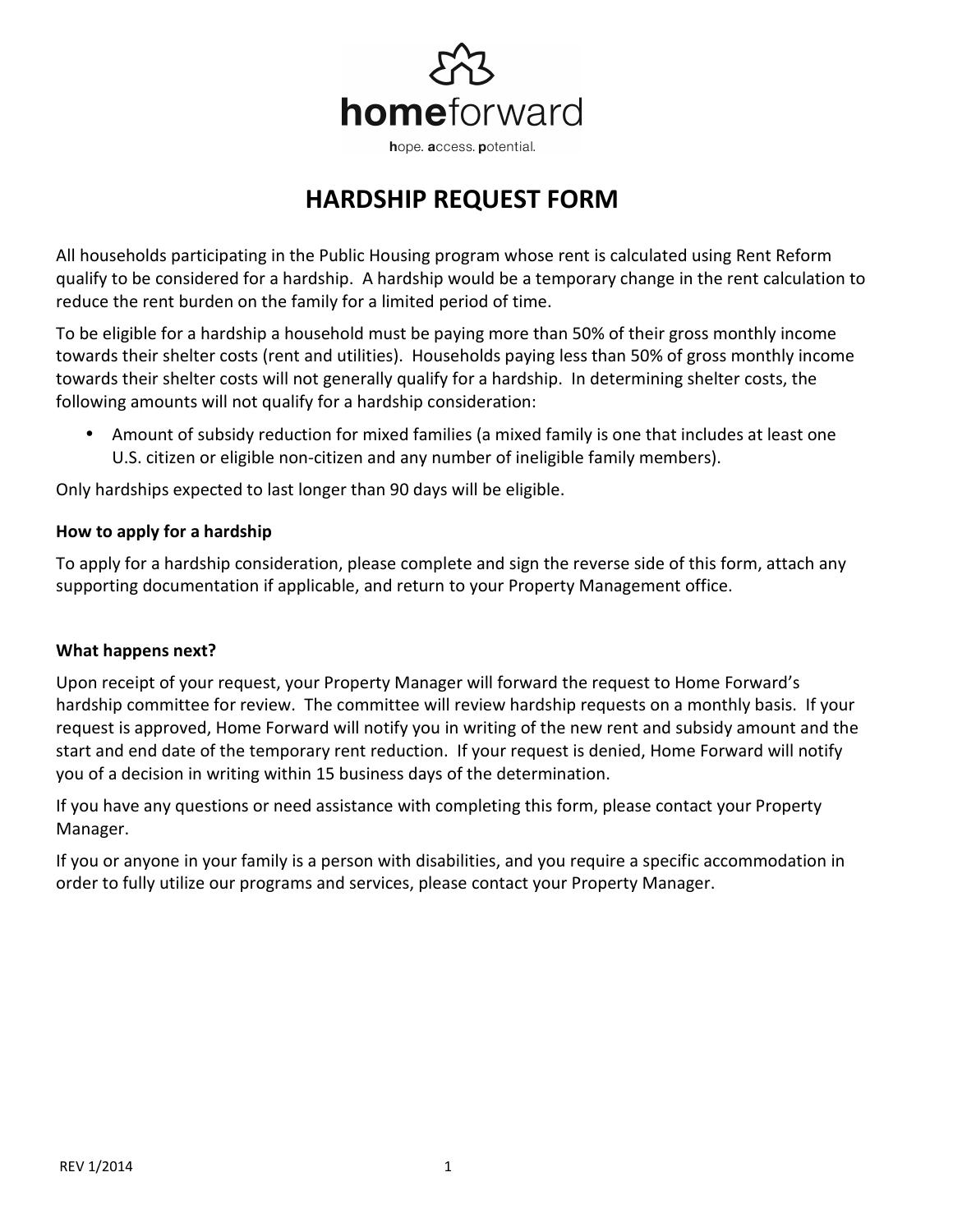

## **HARDSHIP REQUEST FORM**

All households participating in the Public Housing program whose rent is calculated using Rent Reform qualify to be considered for a hardship. A hardship would be a temporary change in the rent calculation to reduce the rent burden on the family for a limited period of time.

To be eligible for a hardship a household must be paying more than 50% of their gross monthly income towards their shelter costs (rent and utilities). Households paying less than 50% of gross monthly income towards their shelter costs will not generally qualify for a hardship. In determining shelter costs, the following amounts will not qualify for a hardship consideration:

• Amount of subsidy reduction for mixed families (a mixed family is one that includes at least one U.S. citizen or eligible non-citizen and any number of ineligible family members).

Only hardships expected to last longer than 90 days will be eligible.

## **How to apply for a hardship**

To apply for a hardship consideration, please complete and sign the reverse side of this form, attach any supporting documentation if applicable, and return to your Property Management office.

## **What happens next?**

Upon receipt of your request, your Property Manager will forward the request to Home Forward's hardship committee for review. The committee will review hardship requests on a monthly basis. If your request is approved, Home Forward will notify you in writing of the new rent and subsidy amount and the start and end date of the temporary rent reduction. If your request is denied, Home Forward will notify you of a decision in writing within 15 business days of the determination.

If you have any questions or need assistance with completing this form, please contact your Property Manager.

If you or anyone in your family is a person with disabilities, and you require a specific accommodation in order to fully utilize our programs and services, please contact your Property Manager.